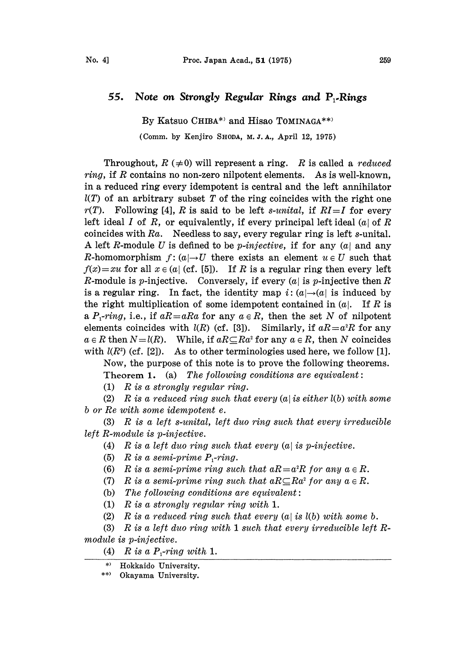## 55. Note on Strongly Regular Rings and  $P_1$ -Rings

By Katsuo CHIBA\*) and Hisao TOMINAGA\*\*)

(Comm. by Kenjiro SHODA, M. J. A., April 12, 1975)

Throughout,  $R \neq 0$  will represent a ring. R is called a reduced *ring*, if R contains no non-zero nilpotent elements. As is well-known, in a reduced ring every idempotent is central and the left annihilator  $l(T)$  of an arbitrary subset T of the ring coincides with the right one  $r(T)$ . Following [4], R is said to be left s-unital, if  $RI=I$  for every left ideal I of R, or equivalently, if every principal left ideal  $(a)$  of R coincides with  $Ra$ . Needless to say, every regular ring is left s-unital. A left R-module U is defined to be *p*-injective, if for any  $(a)$  and any R-homomorphism  $f: (a) \rightarrow U$  there exists an element  $u \in U$  such that  $f(x)=xu$  for all  $x \in (a)$  (cf. [5]). If R is a regular ring then every left R-module is p-injective. Conversely, if every  $(a)$  is p-injective then R is a regular ring. In fact, the identity map  $i: (a) \rightarrow (a)$  is induced by the right multiplication of some idempotent contained in  $(a)$ . If R is a  $P_1$ -ring, i.e., if  $aR=aRa$  for any  $a \in R$ , then the set N of nilpotent elements coincides with  $l(R)$  (cf. [3]). Similarly, if  $aR = a^2R$  for any  $a \in R$  then  $N=l(R)$ . While, if  $aR\subseteq Ra^2$  for any  $a \in R$ , then N coincides with  $l(R^2)$  (cf. [2]). As to other terminologies used here, we follow [1].

Now, the purpose of this note is to prove the following theorems. Theorem 1. (a) The following conditions are equivalent:

(1)  $R$  is a strongly regular ring.

(2) R is a reduced ring such that every  $(a)$  is either  $l(b)$  with some b or Re with some idempotent e.

 $(3)$  R is a left s-unital, left duo ring such that every irreducible left R-module is p-injective.

(4) R is a left duo ring such that every  $(a)$  is p-injective.

- (5) R is a semi-prime  $P_1$ -ring.
- (6) R is a semi-prime ring such that  $aR = a^2R$  for any  $a \in R$ .
- (7) R is a semi-prime ring such that  $aR\subseteq Ra^2$  for any  $a\in R$ .
- (b) The following conditions are equivalent:
- (1) R is a strongly regular ring with 1.

(2)  $R$  is a reduced ring such that every  $(a \mid is \ l(b) \ with \ some \ b.$ 

(3) R is <sup>a</sup> left duo ring with <sup>1</sup> such that every irreducible left R $module$  is  $p\textrm{-}injective.$ 

- (4)  $R$  is a  $P_1$ -ring with 1.
- \*) Hokkaido University.

\*\*) Okayama University.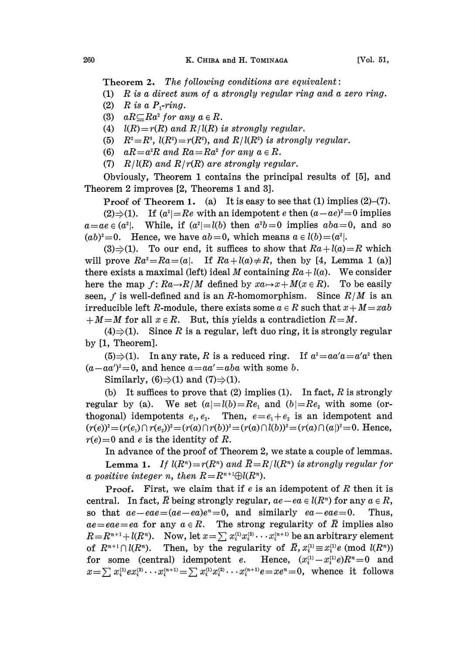Theorem 2. The following conditions are equivalent:

(1) R is a direct sum of a strongly regular ring and a zero ring.

- (2)  $R$  is a  $P_1$ -ring.
- (3)  $aR\mathcal{\subseteq} Ra^2$  for any  $a\in R$ .
- (4)  $l(R)=r(R)$  and  $R/l(R)$  is strongly regular.
- (5)  $R^2 = R^3$ ,  $l(R^2) = r(R^2)$ , and  $R/l(R^2)$  is strongly regular.
- (6)  $aR=a^2R$  and  $Ra=Ra^2$  for any  $a \in R$ .
- (7)  $R/l(R)$  and  $R/r(R)$  are strongly regular.

Obviously, Theorem 1 contains the principal results of [5], and Theorem 2 improves [2, Theorems 1 and 3].

**Proof of Theorem 1.** (a) It is easy to see that (1) implies  $(2)$ – $(7)$ .

(2) $\Rightarrow$ (1). If  $(a^2)=Re$  with an idempotent e then  $(a-ae)^2=0$  implies  $a=ae\in (a^2)$ . While, if  $(a^2)=l(b)$  then  $a^2b=0$  implies  $aba=0$ , and so  $(ab)^2=0$ . Hence, we have  $ab=0$ , which means  $a \in l(b)=(a^2)$ .

(3) $\Rightarrow$ (1). To our end, it suffices to show that  $Ra + l(a) = R$  which will prove  $Ra^2=Ra=(a)$ . If  $Ra+l(a)\neq R$ , then by [4, Lemma 1 (a)] there exists a maximal (left) ideal M containing  $Ra + l(a)$ . We consider here the map  $f: Ra \rightarrow R/M$  defined by  $xa \mapsto x + M(x \in R)$ . To be easily seen, f is well-defined and is an R-homomorphism. Since  $R/M$  is an irreducible left R-module, there exists some  $a \in R$  such that  $x + M = xab$  $+ M = M$  for all  $x \in R$ . But, this yields a contradiction  $R = M$ .

 $(4) \Rightarrow (1)$ . Since R is a regular, left duo ring, it is strongly regular by [1, Theorem].

(5) $\Rightarrow$ (1). In any rate, R is a reduced ring. If  $a^2 = aa'a = a'a^2$  then  $(a-aa')^2=0$ , and hence  $a=aa'=aba$  with some b.

Similarly,  $(6) \Rightarrow (1)$  and  $(7) \Rightarrow (1)$ .

(b) It suffices to prove that (2) implies (1). In fact,  $R$  is strongly regular by (a). We set  $(a)=l(b)=Re_1$  and  $(b)=Re_2$  with some (orthogonal) idempotents  $e_1, e_2$ . Then,  $e = e_1 + e_2$  is an idempotent and  $(r(e))^2 = (r(e_1) \cap r(e_2))^2 = (r(a) \cap r(b))^2 = (r(a) \cap l(b))^2 = (r(a) \cap (a))^2 = 0.$  Hence,  $r(e)=0$  and e is the identity of R.

In advance of the proof of Theorem 2, we state a couple of lemmas.

**Lemma 1.** If  $l(R^n)=r(R^n)$  and  $\overline{R}=R/l(R^n)$  is strongly regular for a positive integer n, then  $R=R^{n+1}\oplus l(R^n)$ .

**Proof.** First, we claim that if  $e$  is an idempotent of  $R$  then it is central. In fact,  $\overline{R}$  being strongly regular,  $ae-ea \in l(R^n)$  for any  $a \in R$ , so that  $ae-eae=(ae-ea)e^x=0$ , and similarly  $ea-eae=0$ . Thus,  $ae=eae=ea$  for any  $a \in R$ . The strong regularity of  $\overline{R}$  implies also  $R=R^{n+1}+l(R^n)$ . Now, let  $x=\sum x_i^{(1)}x_i^{(2)}\cdots x_i^{(n+1)}$  be an arbitrary element of  $R^{n+1} \cap l(R^n)$ . Then, by the regularity of  $\overline{R}$ ,  $x_i^{(1)} \equiv x_i^{(1)} e \pmod{l(R^n)}$ for some (central) idempotent e. Hence,  $(x_i^{(1)}-x_i^{(1)}e)R^n=0$  and  $x=\sum x_i^{(1)}ex_i^{(2)}\cdots x_i^{(n+1)}=\sum x_i^{(1)}x_i^{(2)}\cdots x_i^{(n+1)}e=xe^n=0$ , whence it follows